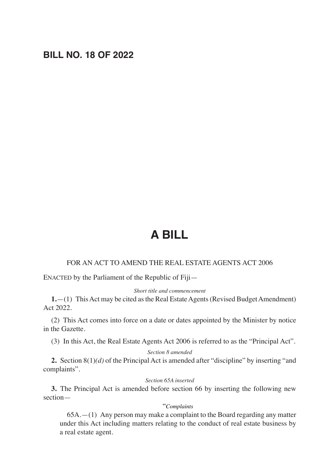## **BILL NO. 18 OF 2022**

# **A BILL**

### FOR AN ACT TO AMEND THE REAL ESTATE AGENTS ACT 2006

ENACTED by the Parliament of the Republic of Fiji—

#### *Short title and commencement*

**1.**—(1) This Act may be cited as the Real Estate Agents (Revised Budget Amendment) Act 2022.

(2) This Act comes into force on a date or dates appointed by the Minister by notice in the Gazette.

(3) In this Act, the Real Estate Agents Act 2006 is referred to as the "Principal Act".

#### *Section 8 amended*

**2.** Section 8(1)*(d)* of the Principal Act is amended after "discipline" by inserting "and complaints".

#### *Section 65A inserted*

**3.** The Principal Act is amended before section 66 by inserting the following new section—

#### "*Complaints*

65A.—(1) Any person may make a complaint to the Board regarding any matter under this Act including matters relating to the conduct of real estate business by a real estate agent.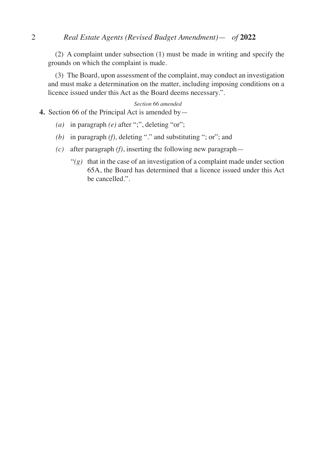(2) A complaint under subsection (1) must be made in writing and specify the grounds on which the complaint is made.

(3) The Board, upon assessment of the complaint, may conduct an investigation and must make a determination on the matter, including imposing conditions on a licence issued under this Act as the Board deems necessary.".

#### *Section 66 amended*

**4.** Section 66 of the Principal Act is amended by—

- *(a)* in paragraph *(e)* after ";", deleting "or";
- *(b)* in paragraph *(f),* deleting "." and substituting "; or"; and
- *(c)* after paragraph *(f)*, inserting the following new paragraph—
	- $''(g)$  that in the case of an investigation of a complaint made under section 65A, the Board has determined that a licence issued under this Act be cancelled.".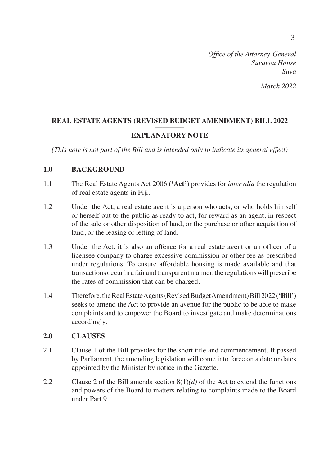## *March 2022*

## **REAL ESTATE AGENTS (REVISED BUDGET AMENDMENT) BILL 2022** –––––––– **EXPLANATORY NOTE**

*(This note is not part of the Bill and is intended only to indicate its general effect)*

## **1.0 BACKGROUND**

- 1.1 The Real Estate Agents Act 2006 (**'Act'**) provides for *inter alia* the regulation of real estate agents in Fiji.
- 1.2 Under the Act, a real estate agent is a person who acts, or who holds himself or herself out to the public as ready to act, for reward as an agent, in respect of the sale or other disposition of land, or the purchase or other acquisition of land, or the leasing or letting of land.
- 1.3 Under the Act, it is also an offence for a real estate agent or an officer of a licensee company to charge excessive commission or other fee as prescribed under regulations. To ensure affordable housing is made available and that transactions occur in a fair and transparent manner, the regulations will prescribe the rates of commission that can be charged.
- 1.4 Therefore, the Real Estate Agents (Revised Budget Amendment) Bill 2022 (**'Bill'**) seeks to amend the Act to provide an avenue for the public to be able to make complaints and to empower the Board to investigate and make determinations accordingly.

## **2.0 CLAUSES**

- 2.1 Clause 1 of the Bill provides for the short title and commencement. If passed by Parliament, the amending legislation will come into force on a date or dates appointed by the Minister by notice in the Gazette.
- 2.2 Clause 2 of the Bill amends section  $8(1)(d)$  of the Act to extend the functions and powers of the Board to matters relating to complaints made to the Board under Part 9.